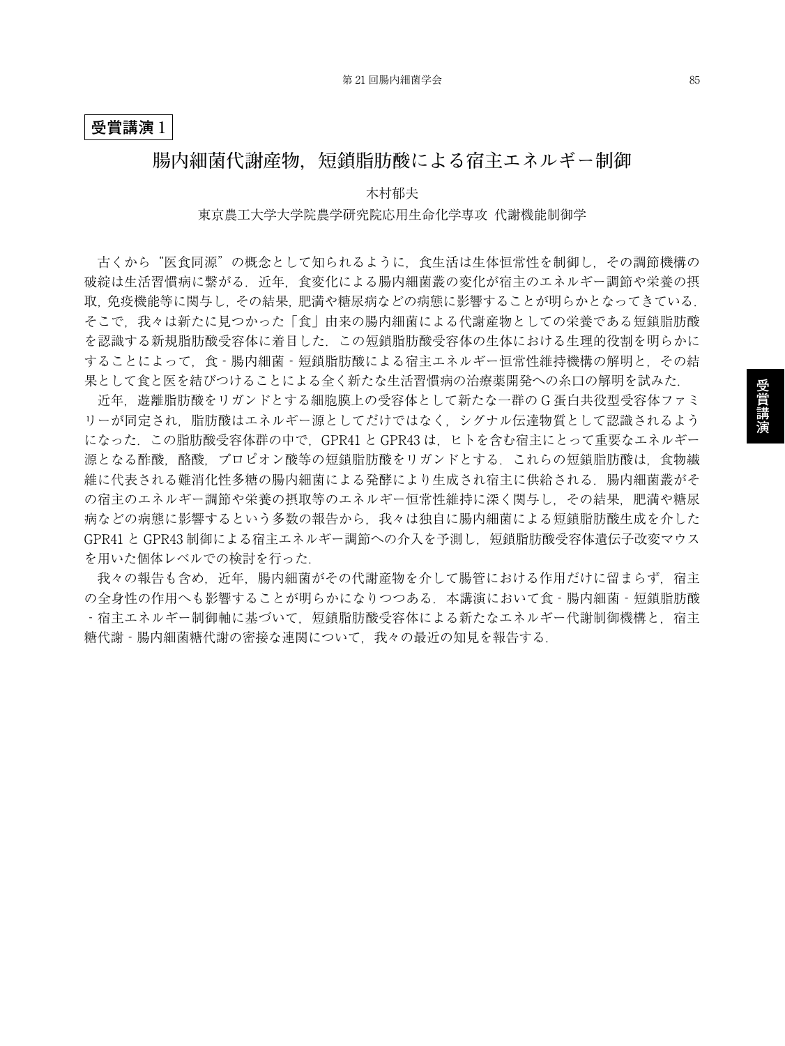## **受賞講演** 1

## **腸内細菌代謝産物,短鎖脂肪酸による宿主エネルギー制御**

木村郁夫 東京農工大学大学院農学研究院応用生命化学専攻 代謝機能制御学

古くから"医食同源"の概念として知られるように,食生活は生体恒常性を制御し,その調節機構の 破綻は生活習慣病に繋がる.近年,食変化による腸内細菌叢の変化が宿主のエネルギー調節や栄養の摂 取,免疫機能等に関与し,その結果,肥満や糖尿病などの病態に影響することが明らかとなってきている. そこで,我々は新たに見つかった「食」由来の腸内細菌による代謝産物としての栄養である短鎖脂肪酸 を認識する新規脂肪酸受容体に着目した.この短鎖脂肪酸受容体の生体における生理的役割を明らかに することによって、食‐腸内細菌‐短鎖脂肪酸による宿主エネルギー恒常性維持機構の解明と、その結 果として食と医を結びつけることによる全く新たな生活習慣病の治療薬開発への糸口の解明を試みた.

近年,遊離脂肪酸をリガンドとする細胞膜上の受容体として新たな一群の G 蛋白共役型受容体ファミ リーが同定され,脂肪酸はエネルギー源としてだけではなく,シグナル伝達物質として認識されるよう になった.この脂肪酸受容体群の中で,GPR41 と GPR43 は,ヒトを含む宿主にとって重要なエネルギー 源となる酢酸、酪酸、プロピオン酸等の短鎖脂肪酸をリガンドとする.これらの短鎖脂肪酸は、食物繊 維に代表される難消化性多糖の腸内細菌による発酵により生成され宿主に供給される.腸内細菌叢がそ の宿主のエネルギー調節や栄養の摂取等のエネルギー恒常性維持に深く関与し、その結果、肥満や糖尿 病などの病態に影響するという多数の報告から,我々は独自に腸内細菌による短鎖脂肪酸生成を介した GPR41 と GPR43 制御による宿主エネルギー調節への介入を予測し、短鎖脂肪酸受容体遺伝子改変マウス を用いた個体レベルでの検討を行った.

我々の報告も含め、近年、腸内細菌がその代謝産物を介して腸管における作用だけに留まらず、宿主 の全身性の作用へも影響することが明らかになりつつある. 本講演において食 - 腸内細菌 - 短鎖脂肪酸 ‐宿主エネルギー制御軸に基づいて,短鎖脂肪酸受容体による新たなエネルギー代謝制御機構と,宿主 糖代謝‐腸内細菌糖代謝の密接な連関について,我々の最近の知見を報告する.